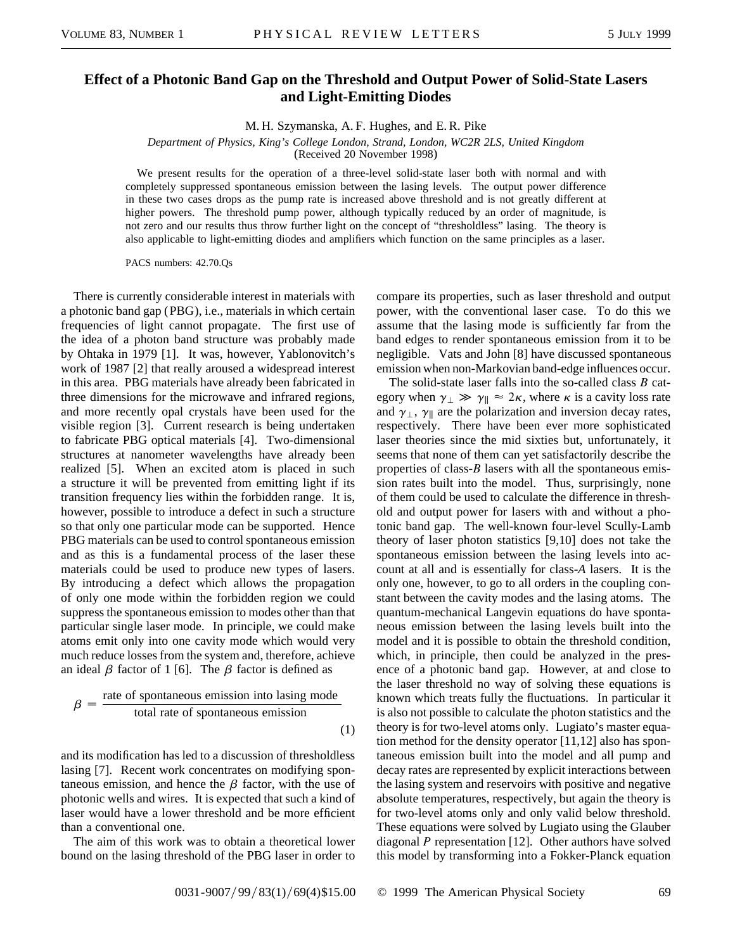## **Effect of a Photonic Band Gap on the Threshold and Output Power of Solid-State Lasers and Light-Emitting Diodes**

M. H. Szymanska, A. F. Hughes, and E. R. Pike

*Department of Physics, King's College London, Strand, London, WC2R 2LS, United Kingdom*

(Received 20 November 1998)

We present results for the operation of a three-level solid-state laser both with normal and with completely suppressed spontaneous emission between the lasing levels. The output power difference in these two cases drops as the pump rate is increased above threshold and is not greatly different at higher powers. The threshold pump power, although typically reduced by an order of magnitude, is not zero and our results thus throw further light on the concept of "thresholdless" lasing. The theory is also applicable to light-emitting diodes and amplifiers which function on the same principles as a laser.

PACS numbers: 42.70.Qs

There is currently considerable interest in materials with a photonic band gap (PBG), i.e., materials in which certain frequencies of light cannot propagate. The first use of the idea of a photon band structure was probably made by Ohtaka in 1979 [1]. It was, however, Yablonovitch's work of 1987 [2] that really aroused a widespread interest in this area. PBG materials have already been fabricated in three dimensions for the microwave and infrared regions, and more recently opal crystals have been used for the visible region [3]. Current research is being undertaken to fabricate PBG optical materials [4]. Two-dimensional structures at nanometer wavelengths have already been realized [5]. When an excited atom is placed in such a structure it will be prevented from emitting light if its transition frequency lies within the forbidden range. It is, however, possible to introduce a defect in such a structure so that only one particular mode can be supported. Hence PBG materials can be used to control spontaneous emission and as this is a fundamental process of the laser these materials could be used to produce new types of lasers. By introducing a defect which allows the propagation of only one mode within the forbidden region we could suppress the spontaneous emission to modes other than that particular single laser mode. In principle, we could make atoms emit only into one cavity mode which would very much reduce losses from the system and, therefore, achieve an ideal  $\beta$  factor of 1 [6]. The  $\beta$  factor is defined as

$$
\beta = \frac{\text{rate of spontaneous emission into lasting mode}}{\text{total rate of spontaneous emission}}
$$
\n(1)

and its modification has led to a discussion of thresholdless lasing [7]. Recent work concentrates on modifying spontaneous emission, and hence the  $\beta$  factor, with the use of photonic wells and wires. It is expected that such a kind of laser would have a lower threshold and be more efficient than a conventional one.

The aim of this work was to obtain a theoretical lower bound on the lasing threshold of the PBG laser in order to

compare its properties, such as laser threshold and output power, with the conventional laser case. To do this we assume that the lasing mode is sufficiently far from the band edges to render spontaneous emission from it to be negligible. Vats and John [8] have discussed spontaneous emission when non-Markovian band-edge influences occur.

The solid-state laser falls into the so-called class *B* category when  $\gamma_{\perp} \gg \gamma_{\parallel} \approx 2\kappa$ , where  $\kappa$  is a cavity loss rate and  $\gamma_{\perp}$ ,  $\gamma_{\parallel}$  are the polarization and inversion decay rates, respectively. There have been ever more sophisticated laser theories since the mid sixties but, unfortunately, it seems that none of them can yet satisfactorily describe the properties of class-*B* lasers with all the spontaneous emission rates built into the model. Thus, surprisingly, none of them could be used to calculate the difference in threshold and output power for lasers with and without a photonic band gap. The well-known four-level Scully-Lamb theory of laser photon statistics [9,10] does not take the spontaneous emission between the lasing levels into account at all and is essentially for class-*A* lasers. It is the only one, however, to go to all orders in the coupling constant between the cavity modes and the lasing atoms. The quantum-mechanical Langevin equations do have spontaneous emission between the lasing levels built into the model and it is possible to obtain the threshold condition, which, in principle, then could be analyzed in the presence of a photonic band gap. However, at and close to the laser threshold no way of solving these equations is known which treats fully the fluctuations. In particular it is also not possible to calculate the photon statistics and the theory is for two-level atoms only. Lugiato's master equation method for the density operator [11,12] also has spontaneous emission built into the model and all pump and decay rates are represented by explicit interactions between the lasing system and reservoirs with positive and negative absolute temperatures, respectively, but again the theory is for two-level atoms only and only valid below threshold. These equations were solved by Lugiato using the Glauber diagonal *P* representation [12]. Other authors have solved this model by transforming into a Fokker-Planck equation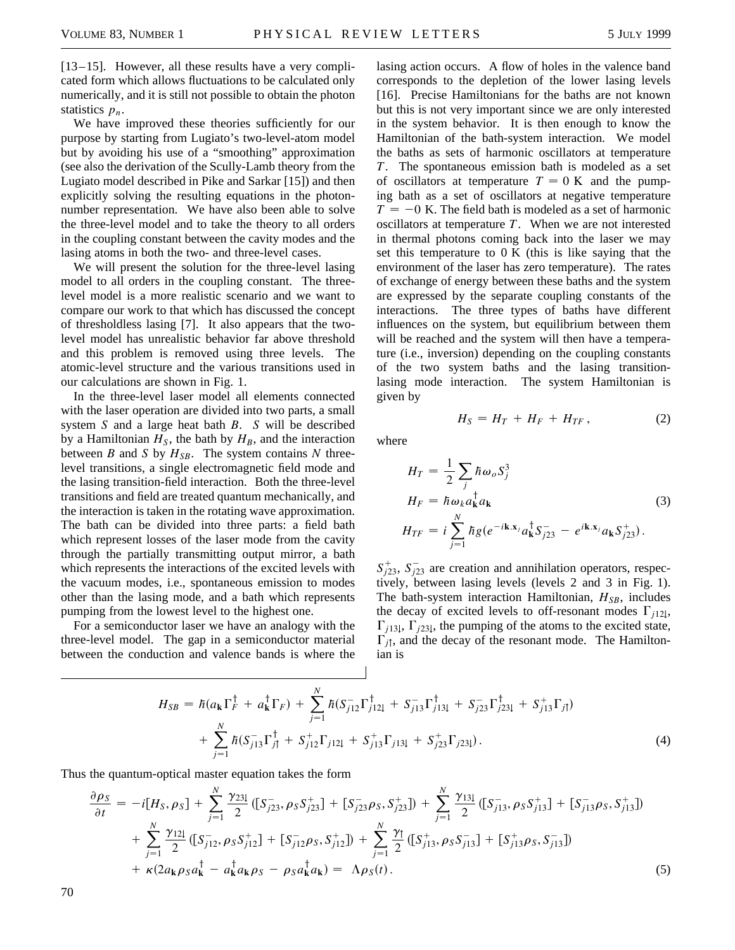[13–15]. However, all these results have a very complicated form which allows fluctuations to be calculated only numerically, and it is still not possible to obtain the photon statistics  $p_n$ .

We have improved these theories sufficiently for our purpose by starting from Lugiato's two-level-atom model but by avoiding his use of a "smoothing" approximation (see also the derivation of the Scully-Lamb theory from the Lugiato model described in Pike and Sarkar [15]) and then explicitly solving the resulting equations in the photonnumber representation. We have also been able to solve the three-level model and to take the theory to all orders in the coupling constant between the cavity modes and the lasing atoms in both the two- and three-level cases.

We will present the solution for the three-level lasing model to all orders in the coupling constant. The threelevel model is a more realistic scenario and we want to compare our work to that which has discussed the concept of thresholdless lasing [7]. It also appears that the twolevel model has unrealistic behavior far above threshold and this problem is removed using three levels. The atomic-level structure and the various transitions used in our calculations are shown in Fig. 1.

In the three-level laser model all elements connected with the laser operation are divided into two parts, a small system *S* and a large heat bath *B*. *S* will be described by a Hamiltonian  $H<sub>S</sub>$ , the bath by  $H<sub>B</sub>$ , and the interaction between *B* and *S* by  $H_{SB}$ . The system contains *N* threelevel transitions, a single electromagnetic field mode and the lasing transition-field interaction. Both the three-level transitions and field are treated quantum mechanically, and the interaction is taken in the rotating wave approximation. The bath can be divided into three parts: a field bath which represent losses of the laser mode from the cavity through the partially transmitting output mirror, a bath which represents the interactions of the excited levels with the vacuum modes, i.e., spontaneous emission to modes other than the lasing mode, and a bath which represents pumping from the lowest level to the highest one.

For a semiconductor laser we have an analogy with the three-level model. The gap in a semiconductor material between the conduction and valence bands is where the

lasing action occurs. A flow of holes in the valence band corresponds to the depletion of the lower lasing levels [16]. Precise Hamiltonians for the baths are not known but this is not very important since we are only interested in the system behavior. It is then enough to know the Hamiltonian of the bath-system interaction. We model the baths as sets of harmonic oscillators at temperature *T*. The spontaneous emission bath is modeled as a set of oscillators at temperature  $T = 0$  K and the pumping bath as a set of oscillators at negative temperature  $T = -0$  K. The field bath is modeled as a set of harmonic oscillators at temperature *T*. When we are not interested in thermal photons coming back into the laser we may set this temperature to 0 K (this is like saying that the environment of the laser has zero temperature). The rates of exchange of energy between these baths and the system are expressed by the separate coupling constants of the interactions. The three types of baths have different influences on the system, but equilibrium between them will be reached and the system will then have a temperature (i.e., inversion) depending on the coupling constants of the two system baths and the lasing transitionlasing mode interaction. The system Hamiltonian is given by

where

$$
H_T = \frac{1}{2} \sum_j \hbar \omega_o S_j^3
$$
  
\n
$$
H_F = \hbar \omega_k a_k^{\dagger} a_k
$$
  
\n
$$
H_{TF} = i \sum_{j=1}^N \hbar g(e^{-i\mathbf{k} \cdot \mathbf{x}_j} a_k^{\dagger} S_{j23}^- - e^{i\mathbf{k} \cdot \mathbf{x}_j} a_k S_{j23}^+).
$$
\n(3)

 $H_S = H_T + H_F + H_{TF}$ , (2)

 $S_{j23}^+$ ,  $S_{j23}^-$  are creation and annihilation operators, respectively, between lasing levels (levels 2 and 3 in Fig. 1). The bath-system interaction Hamiltonian,  $H_{SB}$ , includes the decay of excited levels to off-resonant modes  $\Gamma_{i12}$ ,  $\Gamma_{j13}$ ,  $\Gamma_{j23}$ , the pumping of the atoms to the excited state,  $\Gamma_{j1}$ , and the decay of the resonant mode. The Hamiltonian is

$$
H_{SB} = \hbar (a_{\mathbf{k}} \Gamma_F^{\dagger} + a_{\mathbf{k}}^{\dagger} \Gamma_F) + \sum_{j=1}^{N} \hbar (S_{j12}^{-} \Gamma_{j12l}^{\dagger} + S_{j13}^{-} \Gamma_{j13l}^{\dagger} + S_{j23}^{-} \Gamma_{j23l}^{\dagger} + S_{j13}^{+} \Gamma_{j1})
$$
  
+ 
$$
\sum_{j=1}^{N} \hbar (S_{j13}^{-} \Gamma_{j1}^{\dagger} + S_{j12}^{+} \Gamma_{j12l} + S_{j13}^{+} \Gamma_{j13l} + S_{j23}^{+} \Gamma_{j23l}). \tag{4}
$$

Thus the quantum-optical master equation takes the form

$$
\frac{\partial \rho_S}{\partial t} = -i[H_S, \rho_S] + \sum_{j=1}^N \frac{\gamma_{23l}}{2} ([S_{j23}^-, \rho_S S_{j23}^+] + [S_{j23}^-, \rho_S S_{j23}^+]) + \sum_{j=1}^N \frac{\gamma_{13l}}{2} ([S_{j13}^-, \rho_S S_{j13}^+] + [S_{j13}^-, \rho_S S_{j13}^+])
$$
  
+ 
$$
\sum_{j=1}^N \frac{\gamma_{12l}}{2} ([S_{j12}^-, \rho_S S_{j12}^+] + [S_{j12}^-, \rho_S S_{j12}^+]) + \sum_{j=1}^N \frac{\gamma_1}{2} ([S_{j13}^+, \rho_S S_{j13}^-] + [S_{j13}^+, \rho_S S_{j13}^-])
$$
  
+ 
$$
\kappa(2a_k \rho_S a_k^{\dagger} - a_k^{\dagger} a_k \rho_S - \rho_S a_k^{\dagger} a_k) = \Lambda \rho_S(t).
$$
 (5)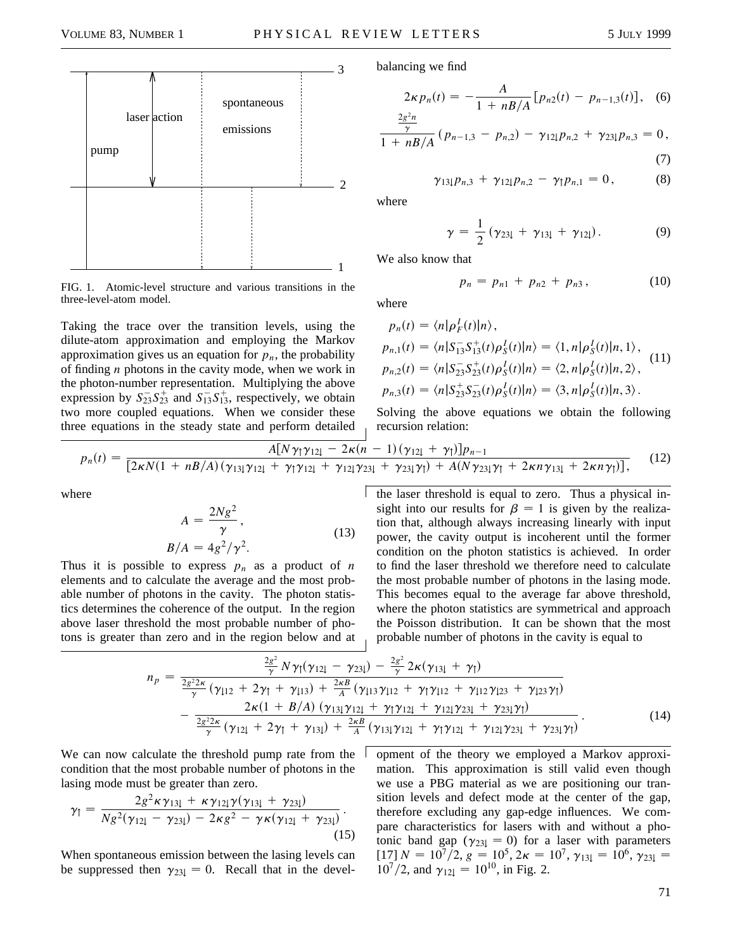

FIG. 1. Atomic-level structure and various transitions in the three-level-atom model.

Taking the trace over the transition levels, using the dilute-atom approximation and employing the Markov approximation gives us an equation for  $p_n$ , the probability of finding *n* photons in the cavity mode, when we work in the photon-number representation. Multiplying the above expression by  $S_{23}^{-}S_{23}^{+}$  and  $S_{13}^{-}S_{13}^{+}$ , respectively, we obtain two more coupled equations. When we consider these three equations in the steady state and perform detailed

## balancing we find

$$
2\kappa p_n(t) = -\frac{A}{1 + nB/A} [p_{n2}(t) - p_{n-1,3}(t)], \quad (6)
$$

$$
\frac{\gamma}{1+nB/A}(p_{n-1,3}-p_{n,2})-\gamma_{12}\rho_{n,2}+\gamma_{23}\rho_{n,3}=0,
$$
\n(7)

$$
\gamma_{13}p_{n,3} + \gamma_{12}p_{n,2} - \gamma_1p_{n,1} = 0, \qquad (8)
$$

where

$$
\gamma = \frac{1}{2} \left( \gamma_{23\downarrow} + \gamma_{13\downarrow} + \gamma_{12\downarrow} \right). \tag{9}
$$

We also know that

$$
p_n = p_{n1} + p_{n2} + p_{n3}, \qquad (10)
$$

where

$$
p_n(t) = \langle n | \rho_F^I(t) | n \rangle,
$$
  
\n
$$
p_{n,1}(t) = \langle n | S_{13}^{-} S_{13}^{+}(t) \rho_S^I(t) | n \rangle = \langle 1, n | \rho_S^I(t) | n, 1 \rangle,
$$
  
\n
$$
p_{n,2}(t) = \langle n | S_{23}^{-} S_{23}^{+}(t) \rho_S^I(t) | n \rangle = \langle 2, n | \rho_S^I(t) | n, 2 \rangle,
$$
  
\n
$$
p_{n,3}(t) = \langle n | S_{23}^{+} S_{23}^{-}(t) \rho_S^I(t) | n \rangle = \langle 3, n | \rho_S^I(t) | n, 3 \rangle.
$$
 (11)

Solving the above equations we obtain the following recursion relation:

$$
p_n(t) = \frac{A[N\gamma_1\gamma_{12} - 2\kappa(n-1)(\gamma_{12} + \gamma_1)]p_{n-1}}{[2\kappa N(1 + nB/A)(\gamma_{13}\gamma_{12} + \gamma_1\gamma_{12} + \gamma_{12}\gamma_{23} + \gamma_{23}\gamma_1) + A(N\gamma_{23}\gamma_1 + 2\kappa n\gamma_{13} + 2\kappa n\gamma_1)],}
$$
(12)

where

$$
A = \frac{2Ng^2}{\gamma},
$$
  
\n
$$
B/A = 4g^2/\gamma^2.
$$
\n(13)

Thus it is possible to express  $p_n$  as a product of  $n$ elements and to calculate the average and the most probable number of photons in the cavity. The photon statistics determines the coherence of the output. In the region above laser threshold the most probable number of photons is greater than zero and in the region below and at the laser threshold is equal to zero. Thus a physical insight into our results for  $\beta = 1$  is given by the realization that, although always increasing linearly with input power, the cavity output is incoherent until the former condition on the photon statistics is achieved. In order to find the laser threshold we therefore need to calculate the most probable number of photons in the lasing mode. This becomes equal to the average far above threshold, where the photon statistics are symmetrical and approach the Poisson distribution. It can be shown that the most probable number of photons in the cavity is equal to

$$
n_{p} = \frac{\frac{2g^{2}}{\gamma} N \gamma_{1}(\gamma_{121} - \gamma_{231}) - \frac{2g^{2}}{\gamma} 2\kappa(\gamma_{131} + \gamma_{1})}{2\kappa(\gamma_{112} + 2\gamma_{1} + \gamma_{113}) + \frac{2\kappa B}{A} (\gamma_{113}\gamma_{112} + \gamma_{1}\gamma_{112} + \gamma_{112}\gamma_{123} + \gamma_{123}\gamma_{1})} - \frac{2\kappa(1 + B/A) (\gamma_{131}\gamma_{121} + \gamma_{1}\gamma_{121} + \gamma_{121}\gamma_{231} + \gamma_{231}\gamma_{1})}{\frac{2g^{2}2\kappa}{\gamma} (\gamma_{121} + 2\gamma_{1} + \gamma_{131}) + \frac{2\kappa B}{A} (\gamma_{131}\gamma_{121} + \gamma_{1}\gamma_{121} + \gamma_{121}\gamma_{231} + \gamma_{231}\gamma_{1})}.
$$
\n(14)

We can now calculate the threshold pump rate from the condition that the most probable number of photons in the lasing mode must be greater than zero.

$$
\gamma_1 = \frac{2g^2\kappa\gamma_{13\downarrow} + \kappa\gamma_{12\downarrow}\gamma(\gamma_{13\downarrow} + \gamma_{23\downarrow})}{Ng^2(\gamma_{12\downarrow} - \gamma_{23\downarrow}) - 2\kappa g^2 - \gamma\kappa(\gamma_{12\downarrow} + \gamma_{23\downarrow})}.
$$
\n(15)

When spontaneous emission between the lasing levels can be suppressed then  $\gamma_{23\downarrow} = 0$ . Recall that in the development of the theory we employed a Markov approximation. This approximation is still valid even though we use a PBG material as we are positioning our transition levels and defect mode at the center of the gap, therefore excluding any gap-edge influences. We compare characteristics for lasers with and without a photonic band gap ( $\gamma_{23\downarrow} = 0$ ) for a laser with parameters  $[17] N = 10^7/2$ ,  $g = 10^5$ ,  $2\kappa = 10^7$ ,  $\gamma_{13\downarrow} = 10^6$ ,  $\gamma_{23\downarrow} =$  $10^7/2$ , and  $\gamma_{12\downarrow} = 10^{10}$ , in Fig. 2.